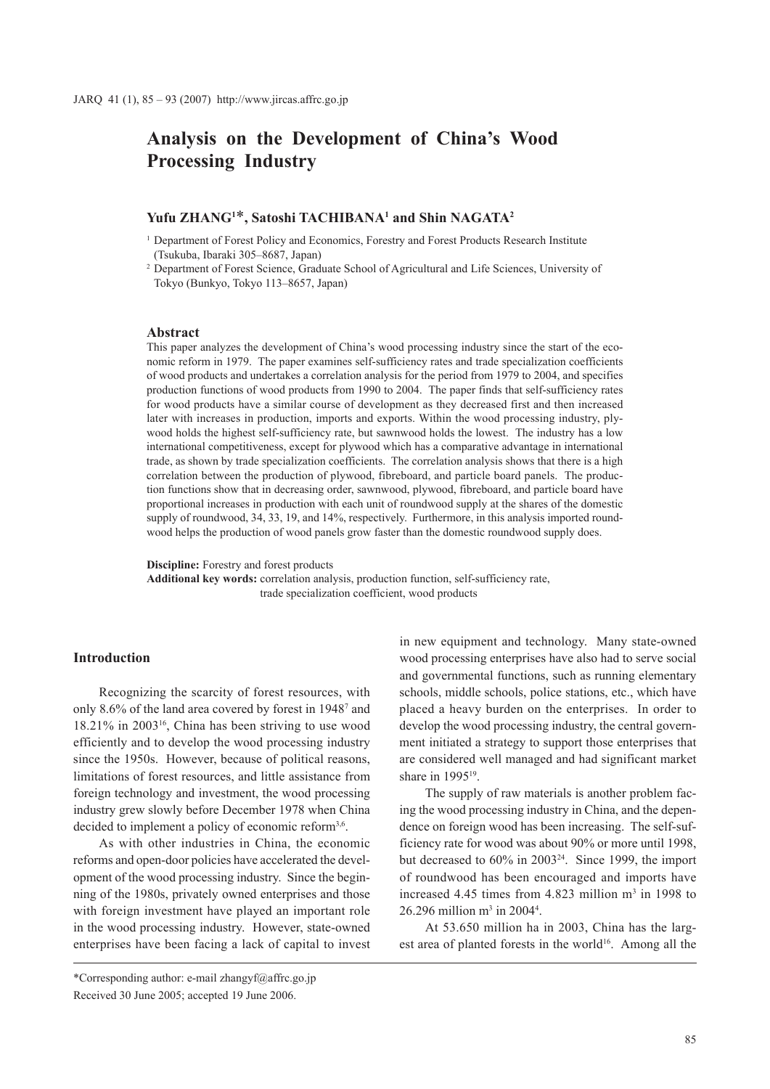# **Analysis on the Development of China's Wood Processing Industry**

## **Yufu ZHANG1** \***, Satoshi TACHIBANA1 and Shin NAGATA2**

- <sup>1</sup> Department of Forest Policy and Economics, Forestry and Forest Products Research Institute (Tsukuba, Ibaraki 305–8687, Japan)
- <sup>2</sup> Department of Forest Science, Graduate School of Agricultural and Life Sciences, University of Tokyo (Bunkyo, Tokyo 113–8657, Japan)

### **Abstract**

This paper analyzes the development of China's wood processing industry since the start of the economic reform in 1979. The paper examines self-sufficiency rates and trade specialization coefficients of wood products and undertakes a correlation analysis for the period from 1979 to 2004, and specifies production functions of wood products from 1990 to 2004. The paper finds that self-sufficiency rates for wood products have a similar course of development as they decreased first and then increased later with increases in production, imports and exports. Within the wood processing industry, plywood holds the highest self-sufficiency rate, but sawnwood holds the lowest. The industry has a low international competitiveness, except for plywood which has a comparative advantage in international trade, as shown by trade specialization coefficients. The correlation analysis shows that there is a high correlation between the production of plywood, fibreboard, and particle board panels. The production functions show that in decreasing order, sawnwood, plywood, fibreboard, and particle board have proportional increases in production with each unit of roundwood supply at the shares of the domestic supply of roundwood, 34, 33, 19, and 14%, respectively. Furthermore, in this analysis imported roundwood helps the production of wood panels grow faster than the domestic roundwood supply does.

**Discipline:** Forestry and forest products

**Additional key words:** correlation analysis, production function, self-sufficiency rate, trade specialization coefficient, wood products

### **Introduction**

Recognizing the scarcity of forest resources, with only 8.6% of the land area covered by forest in 19487 and 18.21% in 200316, China has been striving to use wood efficiently and to develop the wood processing industry since the 1950s. However, because of political reasons, limitations of forest resources, and little assistance from foreign technology and investment, the wood processing industry grew slowly before December 1978 when China decided to implement a policy of economic reform<sup>3,6</sup>.

As with other industries in China, the economic reforms and open-door policies have accelerated the development of the wood processing industry. Since the beginning of the 1980s, privately owned enterprises and those with foreign investment have played an important role in the wood processing industry. However, state-owned enterprises have been facing a lack of capital to invest

in new equipment and technology. Many state-owned wood processing enterprises have also had to serve social and governmental functions, such as running elementary schools, middle schools, police stations, etc., which have placed a heavy burden on the enterprises. In order to develop the wood processing industry, the central government initiated a strategy to support those enterprises that are considered well managed and had significant market share in 1995<sup>19</sup>.

The supply of raw materials is another problem facing the wood processing industry in China, and the dependence on foreign wood has been increasing. The self-sufficiency rate for wood was about 90% or more until 1998, but decreased to 60% in 200324. Since 1999, the import of roundwood has been encouraged and imports have increased 4.45 times from 4.823 million  $m<sup>3</sup>$  in 1998 to  $26.296$  million m<sup>3</sup> in 2004<sup>4</sup>.

At 53.650 million ha in 2003, China has the largest area of planted forests in the world<sup>16</sup>. Among all the

<sup>\*</sup>Corresponding author: e-mail zhangyf@affrc.go.jp Received 30 June 2005; accepted 19 June 2006.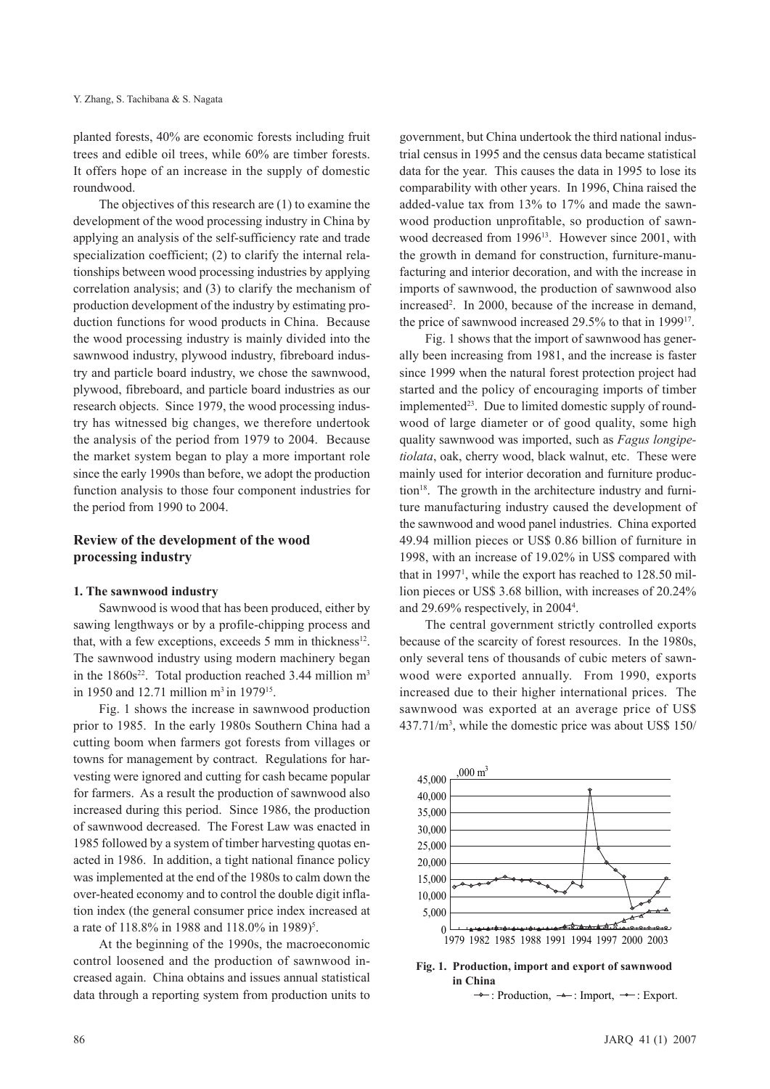planted forests, 40% are economic forests including fruit trees and edible oil trees, while 60% are timber forests. It offers hope of an increase in the supply of domestic roundwood.

The objectives of this research are (1) to examine the development of the wood processing industry in China by applying an analysis of the self-sufficiency rate and trade specialization coefficient; (2) to clarify the internal relationships between wood processing industries by applying correlation analysis; and (3) to clarify the mechanism of production development of the industry by estimating production functions for wood products in China. Because the wood processing industry is mainly divided into the sawnwood industry, plywood industry, fibreboard industry and particle board industry, we chose the sawnwood, plywood, fibreboard, and particle board industries as our research objects. Since 1979, the wood processing industry has witnessed big changes, we therefore undertook the analysis of the period from 1979 to 2004. Because the market system began to play a more important role since the early 1990s than before, we adopt the production function analysis to those four component industries for the period from 1990 to 2004.

### **Review of the development of the wood processing industry**

#### **1. The sawnwood industry**

Sawnwood is wood that has been produced, either by sawing lengthways or by a profile-chipping process and that, with a few exceptions, exceeds 5 mm in thickness<sup>12</sup>. The sawnwood industry using modern machinery began in the  $1860s^{22}$ . Total production reached 3.44 million m<sup>3</sup> in 1950 and 12.71 million m<sup>3</sup> in 1979<sup>15</sup>.

Fig. 1 shows the increase in sawnwood production prior to 1985. In the early 1980s Southern China had a cutting boom when farmers got forests from villages or towns for management by contract. Regulations for harvesting were ignored and cutting for cash became popular for farmers. As a result the production of sawnwood also increased during this period. Since 1986, the production of sawnwood decreased. The Forest Law was enacted in 1985 followed by a system of timber harvesting quotas enacted in 1986. In addition, a tight national finance policy was implemented at the end of the 1980s to calm down the over-heated economy and to control the double digit inflation index (the general consumer price index increased at a rate of 118.8% in 1988 and 118.0% in 1989)<sup>5</sup>.

At the beginning of the 1990s, the macroeconomic control loosened and the production of sawnwood increased again. China obtains and issues annual statistical data through a reporting system from production units to

government, but China undertook the third national industrial census in 1995 and the census data became statistical data for the year. This causes the data in 1995 to lose its comparability with other years. In 1996, China raised the added-value tax from 13% to 17% and made the sawnwood production unprofitable, so production of sawnwood decreased from 1996<sup>13</sup>. However since 2001, with the growth in demand for construction, furniture-manufacturing and interior decoration, and with the increase in imports of sawnwood, the production of sawnwood also increased<sup>2</sup>. In 2000, because of the increase in demand, the price of sawnwood increased 29.5% to that in 199917.

Fig. 1 shows that the import of sawnwood has generally been increasing from 1981, and the increase is faster since 1999 when the natural forest protection project had started and the policy of encouraging imports of timber  $implemented<sup>23</sup>$ . Due to limited domestic supply of roundwood of large diameter or of good quality, some high quality sawnwood was imported, such as *Fagus longipetiolata*, oak, cherry wood, black walnut, etc. These were mainly used for interior decoration and furniture production<sup>18</sup>. The growth in the architecture industry and furniture manufacturing industry caused the development of the sawnwood and wood panel industries. China exported 49.94 million pieces or US\$ 0.86 billion of furniture in 1998, with an increase of 19.02% in US\$ compared with that in 1997<sup>1</sup>, while the export has reached to 128.50 million pieces or US\$ 3.68 billion, with increases of 20.24% and 29.69% respectively, in 20044 .

The central government strictly controlled exports because of the scarcity of forest resources. In the 1980s, only several tens of thousands of cubic meters of sawnwood were exported annually. From 1990, exports increased due to their higher international prices. The sawnwood was exported at an average price of US\$ 437.71/m3 , while the domestic price was about US\$ 150/

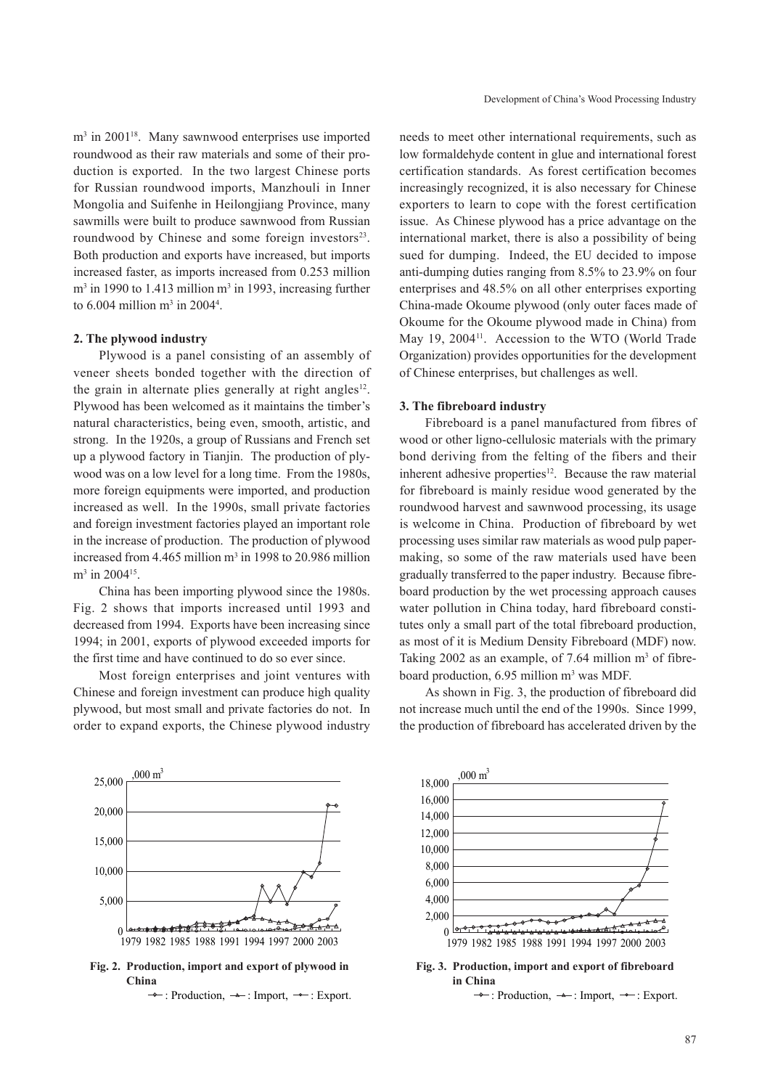m<sup>3</sup> in 2001<sup>18</sup>. Many sawnwood enterprises use imported roundwood as their raw materials and some of their production is exported. In the two largest Chinese ports for Russian roundwood imports, Manzhouli in Inner Mongolia and Suifenhe in Heilongjiang Province, many sawmills were built to produce sawnwood from Russian roundwood by Chinese and some foreign investors<sup>23</sup>. Both production and exports have increased, but imports increased faster, as imports increased from 0.253 million  $m<sup>3</sup>$  in 1990 to 1.413 million  $m<sup>3</sup>$  in 1993, increasing further to  $6.004$  million m<sup>3</sup> in 2004<sup>4</sup>.

#### **2. The plywood industry**

Plywood is a panel consisting of an assembly of veneer sheets bonded together with the direction of the grain in alternate plies generally at right angles<sup>12</sup>. Plywood has been welcomed as it maintains the timber's natural characteristics, being even, smooth, artistic, and strong. In the 1920s, a group of Russians and French set up a plywood factory in Tianjin. The production of plywood was on a low level for a long time. From the 1980s, more foreign equipments were imported, and production increased as well. In the 1990s, small private factories and foreign investment factories played an important role in the increase of production. The production of plywood increased from 4.465 million m<sup>3</sup> in 1998 to 20.986 million m<sup>3</sup> in 2004<sup>15</sup>.

China has been importing plywood since the 1980s. Fig. 2 shows that imports increased until 1993 and decreased from 1994. Exports have been increasing since 1994; in 2001, exports of plywood exceeded imports for the first time and have continued to do so ever since.

Most foreign enterprises and joint ventures with Chinese and foreign investment can produce high quality plywood, but most small and private factories do not. In order to expand exports, the Chinese plywood industry

needs to meet other international requirements, such as low formaldehyde content in glue and international forest certification standards. As forest certification becomes increasingly recognized, it is also necessary for Chinese exporters to learn to cope with the forest certification issue. As Chinese plywood has a price advantage on the international market, there is also a possibility of being sued for dumping. Indeed, the EU decided to impose anti-dumping duties ranging from 8.5% to 23.9% on four enterprises and 48.5% on all other enterprises exporting China-made Okoume plywood (only outer faces made of Okoume for the Okoume plywood made in China) from May 19, 2004<sup>11</sup>. Accession to the WTO (World Trade Organization) provides opportunities for the development of Chinese enterprises, but challenges as well.

#### **3. The fibreboard industry**

Fibreboard is a panel manufactured from fibres of wood or other ligno-cellulosic materials with the primary bond deriving from the felting of the fibers and their inherent adhesive properties<sup>12</sup>. Because the raw material for fibreboard is mainly residue wood generated by the roundwood harvest and sawnwood processing, its usage is welcome in China. Production of fibreboard by wet processing uses similar raw materials as wood pulp papermaking, so some of the raw materials used have been gradually transferred to the paper industry. Because fibreboard production by the wet processing approach causes water pollution in China today, hard fibreboard constitutes only a small part of the total fibreboard production, as most of it is Medium Density Fibreboard (MDF) now. Taking 2002 as an example, of 7.64 million  $m<sup>3</sup>$  of fibreboard production, 6.95 million m<sup>3</sup> was MDF.

As shown in Fig. 3, the production of fibreboard did not increase much until the end of the 1990s. Since 1999, the production of fibreboard has accelerated driven by the



**China**



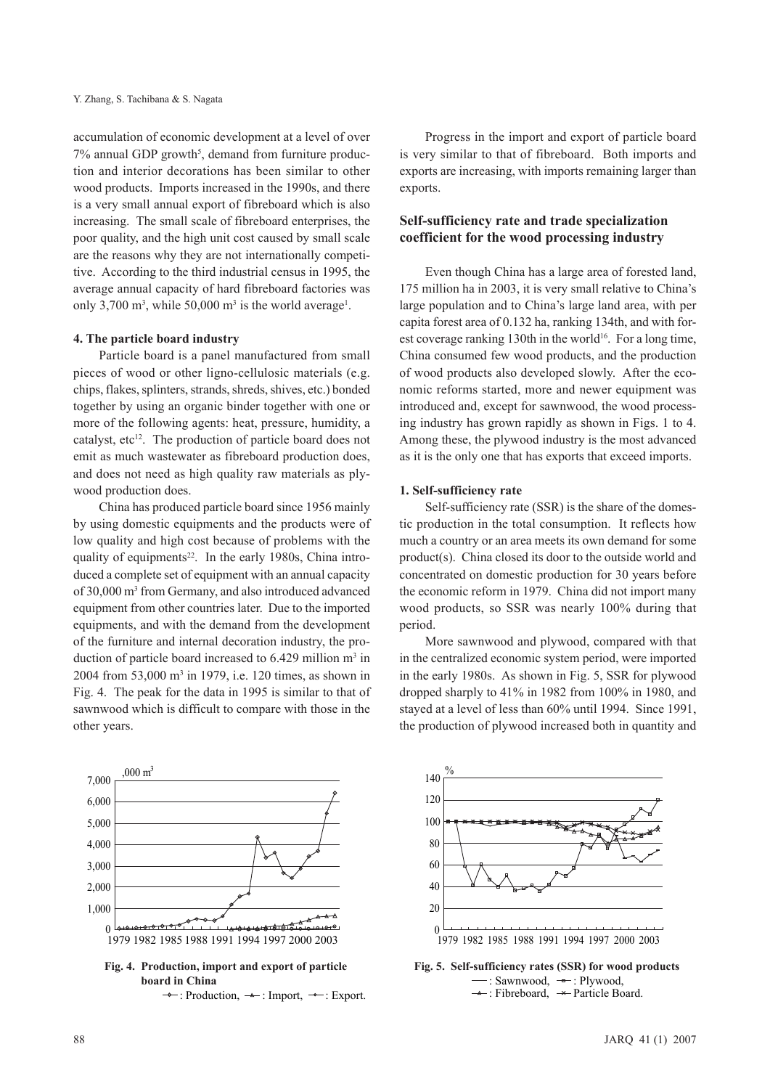accumulation of economic development at a level of over 7% annual GDP growth<sup>5</sup>, demand from furniture production and interior decorations has been similar to other wood products. Imports increased in the 1990s, and there is a very small annual export of fibreboard which is also increasing. The small scale of fibreboard enterprises, the poor quality, and the high unit cost caused by small scale are the reasons why they are not internationally competitive. According to the third industrial census in 1995, the average annual capacity of hard fibreboard factories was only 3,700  $\text{m}^3$ , while 50,000  $\text{m}^3$  is the world average<sup>1</sup>.

### **4. The particle board industry**

Particle board is a panel manufactured from small pieces of wood or other ligno-cellulosic materials (e.g. chips, flakes, splinters, strands, shreds, shives, etc.) bonded together by using an organic binder together with one or more of the following agents: heat, pressure, humidity, a catalyst, etc<sup>12</sup>. The production of particle board does not emit as much wastewater as fibreboard production does, and does not need as high quality raw materials as plywood production does.

China has produced particle board since 1956 mainly by using domestic equipments and the products were of low quality and high cost because of problems with the quality of equipments<sup>22</sup>. In the early 1980s, China introduced a complete set of equipment with an annual capacity of 30,000 m3 from Germany, and also introduced advanced equipment from other countries later. Due to the imported equipments, and with the demand from the development of the furniture and internal decoration industry, the production of particle board increased to  $6.429$  million m<sup>3</sup> in 2004 from 53,000 m3 in 1979, i.e. 120 times, as shown in Fig. 4. The peak for the data in 1995 is similar to that of sawnwood which is difficult to compare with those in the other years.



 $\rightarrow$ : Production,  $\rightarrow$ : Import,  $\rightarrow$ : Export.

Progress in the import and export of particle board is very similar to that of fibreboard. Both imports and exports are increasing, with imports remaining larger than exports.

### **Self-sufficiency rate and trade specialization coefficient for the wood processing industry**

Even though China has a large area of forested land, 175 million ha in 2003, it is very small relative to China's large population and to China's large land area, with per capita forest area of 0.132 ha, ranking 134th, and with forest coverage ranking 130th in the world<sup>16</sup>. For a long time, China consumed few wood products, and the production of wood products also developed slowly. After the economic reforms started, more and newer equipment was introduced and, except for sawnwood, the wood processing industry has grown rapidly as shown in Figs. 1 to 4. Among these, the plywood industry is the most advanced as it is the only one that has exports that exceed imports.

### **1. Self-sufficiency rate**

Self-sufficiency rate (SSR) is the share of the domestic production in the total consumption. It reflects how much a country or an area meets its own demand for some product(s). China closed its door to the outside world and concentrated on domestic production for 30 years before the economic reform in 1979. China did not import many wood products, so SSR was nearly 100% during that period.

More sawnwood and plywood, compared with that in the centralized economic system period, were imported in the early 1980s. As shown in Fig. 5, SSR for plywood dropped sharply to 41% in 1982 from 100% in 1980, and stayed at a level of less than 60% until 1994. Since 1991, the production of plywood increased both in quantity and



**Fig. 5. Self-sufficiency rates (SSR) for wood products**  $-$ : Sawnwood,  $-$  Plywood,  $\rightarrow$ : Fibreboard,  $\rightarrow$  Particle Board.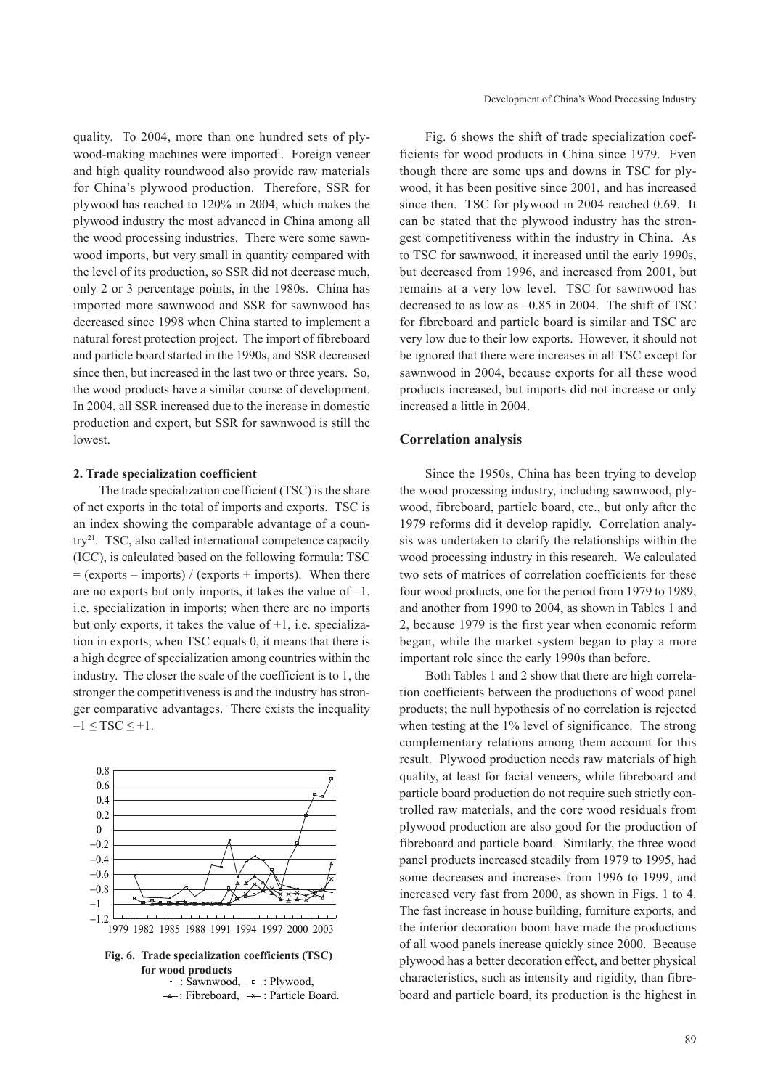quality. To 2004, more than one hundred sets of plywood-making machines were imported<sup>1</sup>. Foreign veneer and high quality roundwood also provide raw materials for China's plywood production. Therefore, SSR for plywood has reached to 120% in 2004, which makes the plywood industry the most advanced in China among all the wood processing industries. There were some sawnwood imports, but very small in quantity compared with the level of its production, so SSR did not decrease much, only 2 or 3 percentage points, in the 1980s. China has imported more sawnwood and SSR for sawnwood has decreased since 1998 when China started to implement a natural forest protection project. The import of fibreboard and particle board started in the 1990s, and SSR decreased since then, but increased in the last two or three years. So, the wood products have a similar course of development. In 2004, all SSR increased due to the increase in domestic production and export, but SSR for sawnwood is still the lowest.

#### **2. Trade specialization coefficient**

The trade specialization coefficient (TSC) is the share of net exports in the total of imports and exports. TSC is an index showing the comparable advantage of a country21. TSC, also called international competence capacity (ICC), is calculated based on the following formula: TSC  $=$  (exports – imports) / (exports + imports). When there are no exports but only imports, it takes the value of  $-1$ , i.e. specialization in imports; when there are no imports but only exports, it takes the value of +1, i.e. specialization in exports; when TSC equals 0, it means that there is a high degree of specialization among countries within the industry. The closer the scale of the coefficient is to 1, the stronger the competitiveness is and the industry has stronger comparative advantages. There exists the inequality  $-1 \leq TSC \leq +1$ .



Fig. 6 shows the shift of trade specialization coefficients for wood products in China since 1979. Even though there are some ups and downs in TSC for plywood, it has been positive since 2001, and has increased since then. TSC for plywood in 2004 reached 0.69. It can be stated that the plywood industry has the strongest competitiveness within the industry in China. As to TSC for sawnwood, it increased until the early 1990s, but decreased from 1996, and increased from 2001, but remains at a very low level. TSC for sawnwood has decreased to as low as –0.85 in 2004. The shift of TSC for fibreboard and particle board is similar and TSC are very low due to their low exports. However, it should not be ignored that there were increases in all TSC except for sawnwood in 2004, because exports for all these wood products increased, but imports did not increase or only increased a little in 2004.

#### **Correlation analysis**

Since the 1950s, China has been trying to develop the wood processing industry, including sawnwood, plywood, fibreboard, particle board, etc., but only after the 1979 reforms did it develop rapidly. Correlation analysis was undertaken to clarify the relationships within the wood processing industry in this research. We calculated two sets of matrices of correlation coefficients for these four wood products, one for the period from 1979 to 1989, and another from 1990 to 2004, as shown in Tables 1 and 2, because 1979 is the first year when economic reform began, while the market system began to play a more important role since the early 1990s than before.

Both Tables 1 and 2 show that there are high correlation coefficients between the productions of wood panel products; the null hypothesis of no correlation is rejected when testing at the 1% level of significance. The strong complementary relations among them account for this result. Plywood production needs raw materials of high quality, at least for facial veneers, while fibreboard and particle board production do not require such strictly controlled raw materials, and the core wood residuals from plywood production are also good for the production of fibreboard and particle board. Similarly, the three wood panel products increased steadily from 1979 to 1995, had some decreases and increases from 1996 to 1999, and increased very fast from 2000, as shown in Figs. 1 to 4. The fast increase in house building, furniture exports, and the interior decoration boom have made the productions of all wood panels increase quickly since 2000. Because plywood has a better decoration effect, and better physical characteristics, such as intensity and rigidity, than fibreboard and particle board, its production is the highest in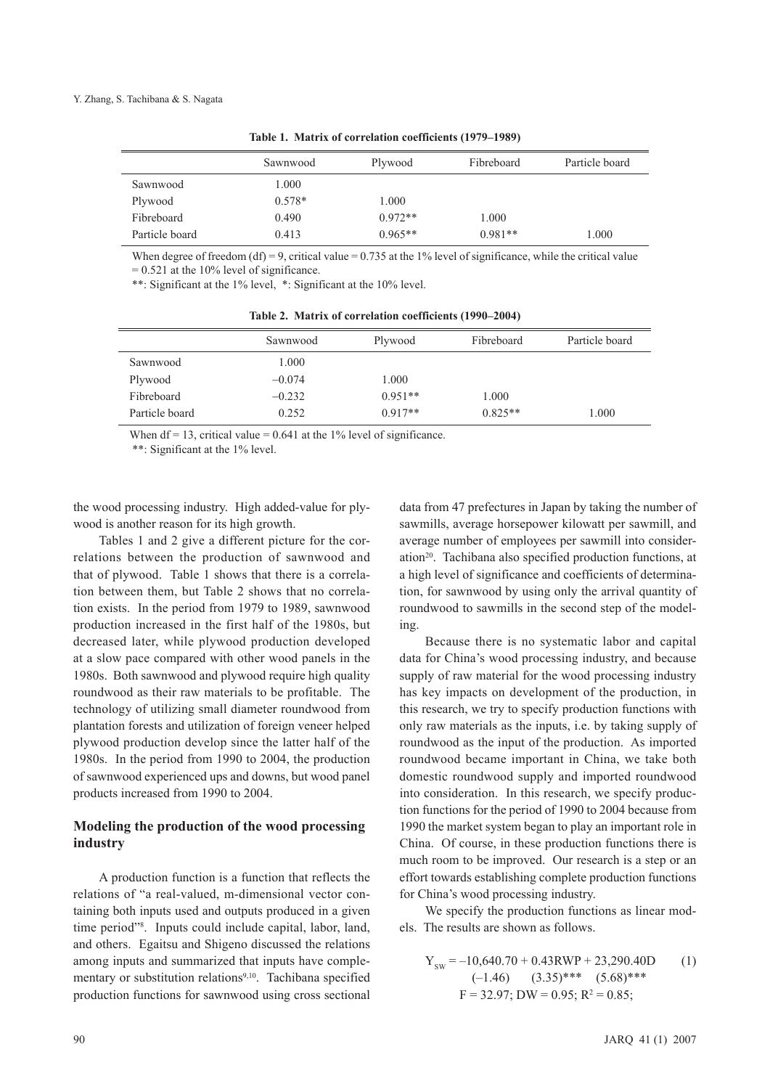|                | Sawnwood | Plywood   | Fibreboard | Particle board |
|----------------|----------|-----------|------------|----------------|
| Sawnwood       | 1.000    |           |            |                |
| Plywood        | $0.578*$ | 1.000     |            |                |
| Fibreboard     | 0.490    | $0.972**$ | 1.000      |                |
| Particle board | 0.413    | $0.965**$ | $0.981**$  | 1.000          |

**Table 1. Matrix of correlation coefficients (1979–1989)**

When degree of freedom (df) = 9, critical value =  $0.735$  at the 1% level of significance, while the critical value  $= 0.521$  at the 10% level of significance.

\*\*: Significant at the 1% level, \*: Significant at the 10% level.

**Table 2. Matrix of correlation coefficients (1990–2004)**

|                | Sawnwood | Plywood   | Fibreboard | Particle board |
|----------------|----------|-----------|------------|----------------|
| Sawnwood       | 000      |           |            |                |
| Plywood        | $-0.074$ | 1.000     |            |                |
| Fibreboard     | $-0.232$ | $0.951**$ | 1.000      |                |
| Particle board | 0.252    | $0.917**$ | $0.825**$  | 1.000          |

When df = 13, critical value =  $0.641$  at the 1% level of significance.

\*\*: Significant at the 1% level.

the wood processing industry. High added-value for plywood is another reason for its high growth.

Tables 1 and 2 give a different picture for the correlations between the production of sawnwood and that of plywood. Table 1 shows that there is a correlation between them, but Table 2 shows that no correlation exists. In the period from 1979 to 1989, sawnwood production increased in the first half of the 1980s, but decreased later, while plywood production developed at a slow pace compared with other wood panels in the 1980s. Both sawnwood and plywood require high quality roundwood as their raw materials to be profitable. The technology of utilizing small diameter roundwood from plantation forests and utilization of foreign veneer helped plywood production develop since the latter half of the 1980s. In the period from 1990 to 2004, the production of sawnwood experienced ups and downs, but wood panel products increased from 1990 to 2004.

### **Modeling the production of the wood processing industry**

A production function is a function that reflects the relations of "a real-valued, m-dimensional vector containing both inputs used and outputs produced in a given time period"8 . Inputs could include capital, labor, land, and others. Egaitsu and Shigeno discussed the relations among inputs and summarized that inputs have complementary or substitution relations<sup>9,10</sup>. Tachibana specified production functions for sawnwood using cross sectional

data from 47 prefectures in Japan by taking the number of sawmills, average horsepower kilowatt per sawmill, and average number of employees per sawmill into consideration<sup>20</sup>. Tachibana also specified production functions, at a high level of significance and coefficients of determination, for sawnwood by using only the arrival quantity of roundwood to sawmills in the second step of the modeling.

Because there is no systematic labor and capital data for China's wood processing industry, and because supply of raw material for the wood processing industry has key impacts on development of the production, in this research, we try to specify production functions with only raw materials as the inputs, i.e. by taking supply of roundwood as the input of the production. As imported roundwood became important in China, we take both domestic roundwood supply and imported roundwood into consideration. In this research, we specify production functions for the period of 1990 to 2004 because from 1990 the market system began to play an important role in China. Of course, in these production functions there is much room to be improved. Our research is a step or an effort towards establishing complete production functions for China's wood processing industry.

We specify the production functions as linear models. The results are shown as follows.

$$
Y_{sw} = -10,640.70 + 0.43RWP + 23,290.40D
$$
 (1)  
(-1.46) (3.35)\*\*\*(5.68)\*\*  
F = 32.97; DW = 0.95; R<sup>2</sup> = 0.85;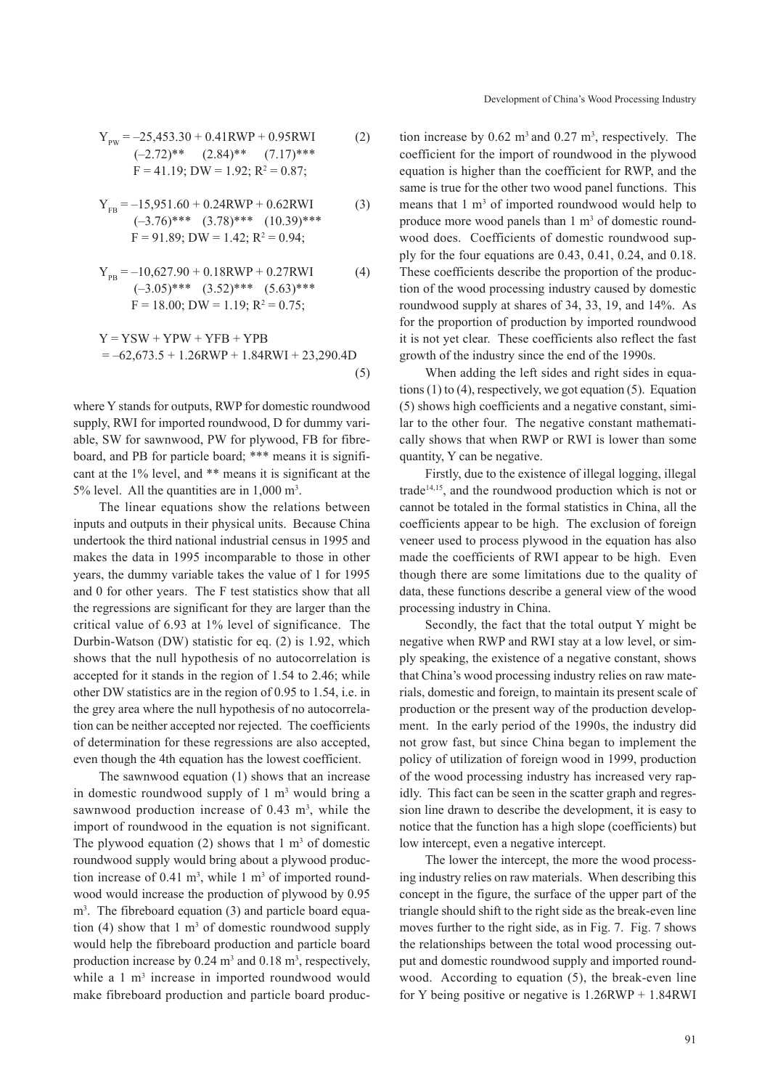$$
Y_{\text{PW}} = -25,453.30 + 0.41 \text{RWP} + 0.95 \text{RWI} \tag{2}
$$
\n
$$
(-2.72)^{**} \quad (2.84)^{**} \quad (7.17)^{***} \text{F} = 41.19; \text{DW} = 1.92; \text{R}^2 = 0.87;
$$

$$
Y_{FB} = -15,951.60 + 0.24RWP + 0.62RWI
$$
  
\n
$$
(-3.76)^{***} (3.78)^{***} (10.39)^{***}
$$
  
\n
$$
F = 91.89; DW = 1.42; R2 = 0.94;
$$
 (3)

$$
Y_{PB} = -10,627.90 + 0.18RWP + 0.27RWI
$$
\n
$$
(-3.05)*** \quad (3.52)*** \quad (5.63)***
$$
\n
$$
F = 18.00; DW = 1.19; R2 = 0.75;
$$
\n(4)

$$
Y = YSW + YPW + YFB + YPB
$$
  
= -62,673.5 + 1.26RWP + 1.84RWI + 23,290.4D (5)

where Y stands for outputs, RWP for domestic roundwood supply, RWI for imported roundwood, D for dummy variable, SW for sawnwood, PW for plywood, FB for fibreboard, and PB for particle board; \*\*\* means it is significant at the 1% level, and \*\* means it is significant at the 5% level. All the quantities are in  $1,000 \text{ m}^3$ .

The linear equations show the relations between inputs and outputs in their physical units. Because China undertook the third national industrial census in 1995 and makes the data in 1995 incomparable to those in other years, the dummy variable takes the value of 1 for 1995 and 0 for other years. The F test statistics show that all the regressions are significant for they are larger than the critical value of 6.93 at 1% level of significance. The Durbin-Watson (DW) statistic for eq. (2) is 1.92, which shows that the null hypothesis of no autocorrelation is accepted for it stands in the region of 1.54 to 2.46; while other DW statistics are in the region of 0.95 to 1.54, i.e. in the grey area where the null hypothesis of no autocorrelation can be neither accepted nor rejected. The coefficients of determination for these regressions are also accepted, even though the 4th equation has the lowest coefficient.

The sawnwood equation (1) shows that an increase in domestic roundwood supply of  $1 \text{ m}^3$  would bring a sawnwood production increase of  $0.43 \text{ m}^3$ , while the import of roundwood in the equation is not significant. The plywood equation (2) shows that  $1 \text{ m}^3$  of domestic roundwood supply would bring about a plywood production increase of 0.41  $\text{m}^3$ , while 1  $\text{m}^3$  of imported roundwood would increase the production of plywood by 0.95 m<sup>3</sup>. The fibreboard equation (3) and particle board equation (4) show that 1  $m<sup>3</sup>$  of domestic roundwood supply would help the fibreboard production and particle board production increase by  $0.24 \text{ m}^3$  and  $0.18 \text{ m}^3$ , respectively, while a 1 m<sup>3</sup> increase in imported roundwood would make fibreboard production and particle board produc-

tion increase by  $0.62 \text{ m}^3$  and  $0.27 \text{ m}^3$ , respectively. The coefficient for the import of roundwood in the plywood equation is higher than the coefficient for RWP, and the same is true for the other two wood panel functions. This means that 1 m<sup>3</sup> of imported roundwood would help to produce more wood panels than  $1 \text{ m}^3$  of domestic roundwood does. Coefficients of domestic roundwood supply for the four equations are 0.43, 0.41, 0.24, and 0.18. These coefficients describe the proportion of the production of the wood processing industry caused by domestic roundwood supply at shares of 34, 33, 19, and 14%. As for the proportion of production by imported roundwood it is not yet clear. These coefficients also reflect the fast growth of the industry since the end of the 1990s.

When adding the left sides and right sides in equations  $(1)$  to  $(4)$ , respectively, we got equation  $(5)$ . Equation (5) shows high coefficients and a negative constant, similar to the other four. The negative constant mathematically shows that when RWP or RWI is lower than some quantity, Y can be negative.

Firstly, due to the existence of illegal logging, illegal trade $14,15$ , and the roundwood production which is not or cannot be totaled in the formal statistics in China, all the coefficients appear to be high. The exclusion of foreign veneer used to process plywood in the equation has also made the coefficients of RWI appear to be high. Even though there are some limitations due to the quality of data, these functions describe a general view of the wood processing industry in China.

Secondly, the fact that the total output Y might be negative when RWP and RWI stay at a low level, or simply speaking, the existence of a negative constant, shows that China's wood processing industry relies on raw materials, domestic and foreign, to maintain its present scale of production or the present way of the production development. In the early period of the 1990s, the industry did not grow fast, but since China began to implement the policy of utilization of foreign wood in 1999, production of the wood processing industry has increased very rapidly. This fact can be seen in the scatter graph and regression line drawn to describe the development, it is easy to notice that the function has a high slope (coefficients) but low intercept, even a negative intercept.

The lower the intercept, the more the wood processing industry relies on raw materials. When describing this concept in the figure, the surface of the upper part of the triangle should shift to the right side as the break-even line moves further to the right side, as in Fig. 7. Fig. 7 shows the relationships between the total wood processing output and domestic roundwood supply and imported roundwood. According to equation (5), the break-even line for Y being positive or negative is 1.26RWP + 1.84RWI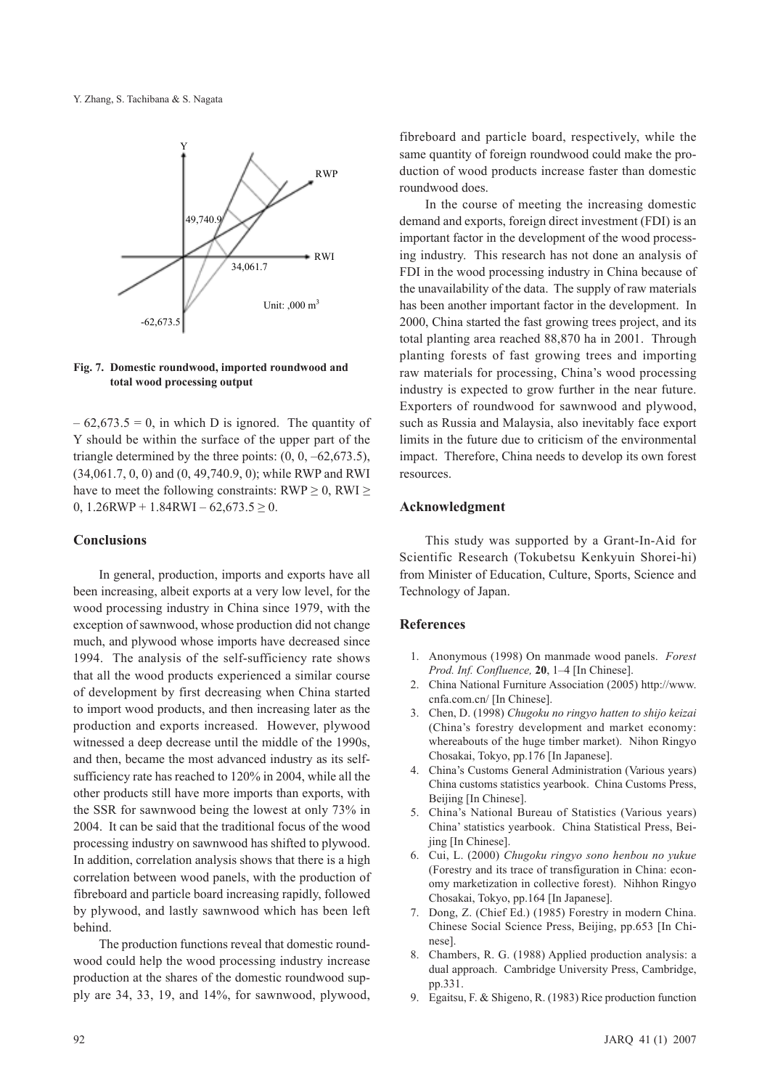

### **Fig. 7. Domestic roundwood, imported roundwood and total wood processing output**

 $-62,673.5 = 0$ , in which D is ignored. The quantity of Y should be within the surface of the upper part of the triangle determined by the three points:  $(0, 0, -62, 673.5)$ , (34,061.7, 0, 0) and (0, 49,740.9, 0); while RWP and RWI have to meet the following constraints:  $RWP \geq 0$ ,  $RWI \geq 0$ 0,  $1.26$ RWP +  $1.84$ RWI –  $62,673.5 \ge 0$ .

### **Conclusions**

In general, production, imports and exports have all been increasing, albeit exports at a very low level, for the wood processing industry in China since 1979, with the exception of sawnwood, whose production did not change much, and plywood whose imports have decreased since 1994. The analysis of the self-sufficiency rate shows that all the wood products experienced a similar course of development by first decreasing when China started to import wood products, and then increasing later as the production and exports increased. However, plywood witnessed a deep decrease until the middle of the 1990s, and then, became the most advanced industry as its selfsufficiency rate has reached to 120% in 2004, while all the other products still have more imports than exports, with the SSR for sawnwood being the lowest at only 73% in 2004. It can be said that the traditional focus of the wood processing industry on sawnwood has shifted to plywood. In addition, correlation analysis shows that there is a high correlation between wood panels, with the production of fibreboard and particle board increasing rapidly, followed by plywood, and lastly sawnwood which has been left behind.

The production functions reveal that domestic roundwood could help the wood processing industry increase production at the shares of the domestic roundwood supply are 34, 33, 19, and 14%, for sawnwood, plywood,

fibreboard and particle board, respectively, while the same quantity of foreign roundwood could make the production of wood products increase faster than domestic roundwood does.

In the course of meeting the increasing domestic demand and exports, foreign direct investment (FDI) is an important factor in the development of the wood processing industry. This research has not done an analysis of FDI in the wood processing industry in China because of the unavailability of the data. The supply of raw materials has been another important factor in the development. In 2000, China started the fast growing trees project, and its total planting area reached 88,870 ha in 2001. Through planting forests of fast growing trees and importing raw materials for processing, China's wood processing industry is expected to grow further in the near future. Exporters of roundwood for sawnwood and plywood, such as Russia and Malaysia, also inevitably face export limits in the future due to criticism of the environmental impact. Therefore, China needs to develop its own forest resources.

### **Acknowledgment**

This study was supported by a Grant-In-Aid for Scientific Research (Tokubetsu Kenkyuin Shorei-hi) from Minister of Education, Culture, Sports, Science and Technology of Japan.

### **References**

- 1. Anonymous (1998) On manmade wood panels. *Forest Prod. Inf. Confluence,* **20**, 1–4 [In Chinese].
- 2. China National Furniture Association (2005) http://www. cnfa.com.cn/ [In Chinese].
- 3. Chen, D. (1998) *Chugoku no ringyo hatten to shijo keizai* (China's forestry development and market economy: whereabouts of the huge timber market). Nihon Ringyo Chosakai, Tokyo, pp.176 [In Japanese].
- 4. China's Customs General Administration (Various years) China customs statistics yearbook. China Customs Press, Beijing [In Chinese].
- 5. China's National Bureau of Statistics (Various years) China' statistics yearbook. China Statistical Press, Beijing [In Chinese].
- 6. Cui, L. (2000) *Chugoku ringyo sono henbou no yukue* (Forestry and its trace of transfiguration in China: economy marketization in collective forest). Nihhon Ringyo Chosakai, Tokyo, pp.164 [In Japanese].
- 7. Dong, Z. (Chief Ed.) (1985) Forestry in modern China. Chinese Social Science Press, Beijing, pp.653 [In Chinese].
- 8. Chambers, R. G. (1988) Applied production analysis: a dual approach. Cambridge University Press, Cambridge, pp.331.
- 9. Egaitsu, F. & Shigeno, R. (1983) Rice production function